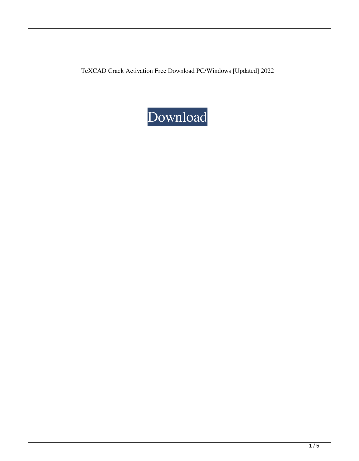TeXCAD Crack Activation Free Download PC/Windows [Updated] 2022

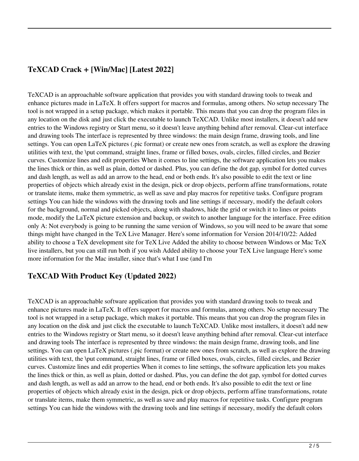# **TeXCAD Crack + [Win/Mac] [Latest 2022]**

TeXCAD is an approachable software application that provides you with standard drawing tools to tweak and enhance pictures made in LaTeX. It offers support for macros and formulas, among others. No setup necessary The tool is not wrapped in a setup package, which makes it portable. This means that you can drop the program files in any location on the disk and just click the executable to launch TeXCAD. Unlike most installers, it doesn't add new entries to the Windows registry or Start menu, so it doesn't leave anything behind after removal. Clear-cut interface and drawing tools The interface is represented by three windows: the main design frame, drawing tools, and line settings. You can open LaTeX pictures (.pic format) or create new ones from scratch, as well as explore the drawing utilities with text, the \put command, straight lines, frame or filled boxes, ovals, circles, filled circles, and Bezier curves. Customize lines and edit properties When it comes to line settings, the software application lets you makes the lines thick or thin, as well as plain, dotted or dashed. Plus, you can define the dot gap, symbol for dotted curves and dash length, as well as add an arrow to the head, end or both ends. It's also possible to edit the text or line properties of objects which already exist in the design, pick or drop objects, perform affine transformations, rotate or translate items, make them symmetric, as well as save and play macros for repetitive tasks. Configure program settings You can hide the windows with the drawing tools and line settings if necessary, modify the default colors for the background, normal and picked objects, along with shadows, hide the grid or switch it to lines or points mode, modify the LaTeX picture extension and backup, or switch to another language for the interface. Free edition only A: Not everybody is going to be running the same version of Windows, so you will need to be aware that some things might have changed in the TeX Live Manager. Here's some information for Version 2014/10/22: Added ability to choose a TeX development site for TeX Live Added the ability to choose between Windows or Mac TeX live installers, but you can still run both if you wish Added ability to choose your TeX Live language Here's some more information for the Mac installer, since that's what I use (and I'm

### **TeXCAD With Product Key (Updated 2022)**

TeXCAD is an approachable software application that provides you with standard drawing tools to tweak and enhance pictures made in LaTeX. It offers support for macros and formulas, among others. No setup necessary The tool is not wrapped in a setup package, which makes it portable. This means that you can drop the program files in any location on the disk and just click the executable to launch TeXCAD. Unlike most installers, it doesn't add new entries to the Windows registry or Start menu, so it doesn't leave anything behind after removal. Clear-cut interface and drawing tools The interface is represented by three windows: the main design frame, drawing tools, and line settings. You can open LaTeX pictures (.pic format) or create new ones from scratch, as well as explore the drawing utilities with text, the \put command, straight lines, frame or filled boxes, ovals, circles, filled circles, and Bezier curves. Customize lines and edit properties When it comes to line settings, the software application lets you makes the lines thick or thin, as well as plain, dotted or dashed. Plus, you can define the dot gap, symbol for dotted curves and dash length, as well as add an arrow to the head, end or both ends. It's also possible to edit the text or line properties of objects which already exist in the design, pick or drop objects, perform affine transformations, rotate or translate items, make them symmetric, as well as save and play macros for repetitive tasks. Configure program settings You can hide the windows with the drawing tools and line settings if necessary, modify the default colors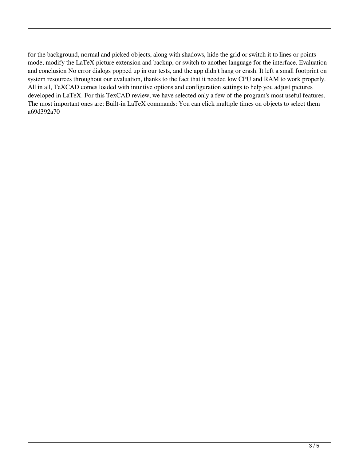for the background, normal and picked objects, along with shadows, hide the grid or switch it to lines or points mode, modify the LaTeX picture extension and backup, or switch to another language for the interface. Evaluation and conclusion No error dialogs popped up in our tests, and the app didn't hang or crash. It left a small footprint on system resources throughout our evaluation, thanks to the fact that it needed low CPU and RAM to work properly. All in all, TeXCAD comes loaded with intuitive options and configuration settings to help you adjust pictures developed in LaTeX. For this TexCAD review, we have selected only a few of the program's most useful features. The most important ones are: Built-in LaTeX commands: You can click multiple times on objects to select them a69d392a70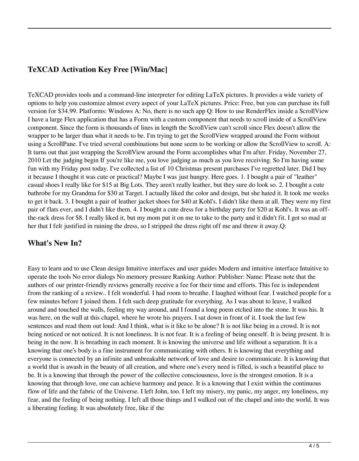## **TeXCAD Activation Key Free [Win/Mac]**

TeXCAD provides tools and a command-line interpreter for editing LaTeX pictures. It provides a wide variety of options to help you customize almost every aspect of your LaTeX pictures. Price: Free, but you can purchase its full version for \$34.99. Platforms: Windows A: No, there is no such app Q: How to use RenderFlex inside a ScrollView I have a large Flex application that has a Form with a custom component that needs to scroll inside of a ScrollView component. Since the form is thousands of lines in length the ScrollView can't scroll since Flex doesn't allow the wrapper to be larger than what it needs to be. I'm trying to get the ScrollView wrapped around the Form without using a ScrollPane. I've tried several combinations but none seem to be working or allow the ScrollView to scroll. A: It turns out that just wrapping the ScrollView around the Form accomplishes what I'm after. Friday, November 27, 2010 Let the judging begin If you're like me, you love judging as much as you love receiving. So I'm having some fun with my Friday post today. I've collected a list of 10 Christmas present purchases I've regretted later. Did I buy it because I thought it was cute or practical? Maybe I was just hungry. Here goes. 1. I bought a pair of "leather" casual shoes I really like for \$15 at Big Lots. They aren't really leather, but they sure do look so. 2. I bought a cute bathrobe for my Grandma for \$30 at Target. I actually liked the color and design, but she hated it. It took me weeks to get it back. 3. I bought a pair of leather jacket shoes for \$40 at Kohl's. I didn't like them at all. They were my first pair of flats ever, and I didn't like them. 4. I bought a cute dress for a birthday party for \$20 at Kohl's. It was an offthe-rack dress for \$8. I really liked it, but my mom put it on me to take to the party and it didn't fit. I got so mad at her that I felt justified in ruining the dress, so I stripped the dress right off me and threw it away.Q:

#### **What's New In?**

Easy to learn and to use Clean design Intuitive interfaces and user guides Modern and intuitive interface Intuitive to operate the tools No error dialogs No memory pressure Ranking Author: Publisher: Name: Please note that the authors of our printer-friendly reviews generally receive a fee for their time and efforts. This fee is independent from the ranking of a review.. I felt wonderful. I had room to breathe. I laughed without fear. I watched people for a few minutes before I joined them. I felt such deep gratitude for everything. As I was about to leave, I walked around and touched the walls, feeling my way around, and I found a long poem etched into the stone. It was his. It was here, on the wall at this chapel, where he wrote his prayers. I sat down in front of it. I took the last few sentences and read them out loud: And I think, what is it like to be alone? It is not like being in a crowd. It is not being noticed or not noticed. It is not loneliness. It is not fear. It is a feeling of being oneself. It is being present. It is being in the now. It is breathing in each moment. It is knowing the universe and life without a separation. It is a knowing that one's body is a fine instrument for communicating with others. It is knowing that everything and everyone is connected by an infinite and unbreakable network of love and desire to communicate. It is knowing that a world that is awash in the beauty of all creation, and where one's every need is filled, is such a beautiful place to be. It is a knowing that through the power of the collective consciousness, love is the strongest emotion. It is a knowing that through love, one can achieve harmony and peace. It is a knowing that I exist within the continuous flow of life and the fabric of the Universe. I left John, too. I left my misery, my panic, my anger, my loneliness, my fear, and the feeling of being nothing. I left all those things and I walked out of the chapel and into the world. It was a liberating feeling. It was absolutely free, like if the